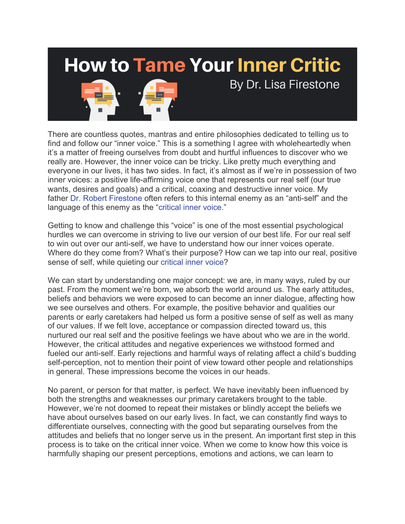# **How to Tame Your Inner Critic** By Dr. Lisa Firestone



There are countless quotes, mantras and entire philosophies dedicated to telling us to find and follow our "inner voice." This is a something I agree with wholeheartedly when it's a matter of freeing ourselves from doubt and hurtful influences to discover who we really are. However, the inner voice can be tricky. Like pretty much everything and everyone in our lives, it has two sides. In fact, it's almost as if we're in possession of two inner voices: a positive life-affirming voice one that represents our real self (our true wants, desires and goals) and a critical, coaxing and destructive inner voice. My father Dr. Robert Firestone often refers to this internal enemy as an "anti-self" and the language of this enemy as the "critical inner voice."

Getting to know and challenge this "voice" is one of the most essential psychological hurdles we can overcome in striving to live our version of our best life. For our real self to win out over our anti-self, we have to understand how our inner voices operate. Where do they come from? What's their purpose? How can we tap into our real, positive sense of self, while quieting our critical inner voice?

We can start by understanding one major concept: we are, in many ways, ruled by our past. From the moment we're born, we absorb the world around us. The early attitudes, beliefs and behaviors we were exposed to can become an inner dialogue, affecting how we see ourselves and others. For example, the positive behavior and qualities our parents or early caretakers had helped us form a positive sense of self as well as many of our values. If we felt love, acceptance or compassion directed toward us, this nurtured our real self and the positive feelings we have about who we are in the world. However, the critical attitudes and negative experiences we withstood formed and fueled our anti-self. Early rejections and harmful ways of relating affect a child's budding self-perception, not to mention their point of view toward other people and relationships in general. These impressions become the voices in our heads.

No parent, or person for that matter, is perfect. We have inevitably been influenced by both the strengths and weaknesses our primary caretakers brought to the table. However, we're not doomed to repeat their mistakes or blindly accept the beliefs we have about ourselves based on our early lives. In fact, we can constantly find ways to differentiate ourselves, connecting with the good but separating ourselves from the attitudes and beliefs that no longer serve us in the present. An important first step in this process is to take on the critical inner voice. When we come to know how this voice is harmfully shaping our present perceptions, emotions and actions, we can learn to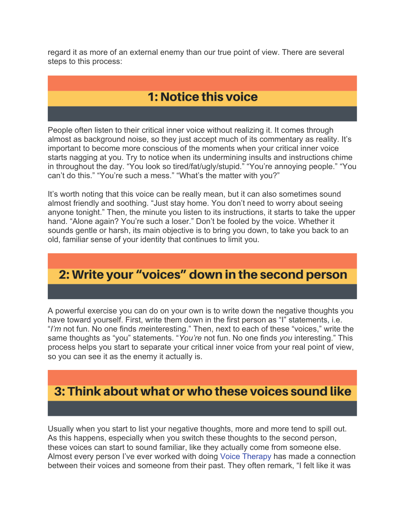regard it as more of an external enemy than our true point of view. There are several steps to this process:

## **1: Notice this voice**

People often listen to their critical inner voice without realizing it. It comes through almost as background noise, so they just accept much of its commentary as reality. It's important to become more conscious of the moments when your critical inner voice starts nagging at you. Try to notice when its undermining insults and instructions chime in throughout the day. "You look so tired/fat/ugly/stupid." "You're annoying people." "You can't do this." "You're such a mess." "What's the matter with you?"

It's worth noting that this voice can be really mean, but it can also sometimes sound almost friendly and soothing. "Just stay home. You don't need to worry about seeing anyone tonight." Then, the minute you listen to its instructions, it starts to take the upper hand. "Alone again? You're such a loser." Don't be fooled by the voice. Whether it sounds gentle or harsh, its main objective is to bring you down, to take you back to an old, familiar sense of your identity that continues to limit you.

#### 2: Write your "voices" down in the second person

A powerful exercise you can do on your own is to write down the negative thoughts you have toward yourself. First, write them down in the first person as "I" statements, i.e. "*I'm* not fun. No one finds *me*interesting." Then, next to each of these "voices," write the same thoughts as "you" statements. "*You're* not fun. No one finds *you* interesting." This process helps you start to separate your critical inner voice from your real point of view, so you can see it as the enemy it actually is.

#### 3: Think about what or who these voices sound like

Usually when you start to list your negative thoughts, more and more tend to spill out. As this happens, especially when you switch these thoughts to the second person, these voices can start to sound familiar, like they actually come from someone else. Almost every person I've ever worked with doing Voice Therapy has made a connection between their voices and someone from their past. They often remark, "I felt like it was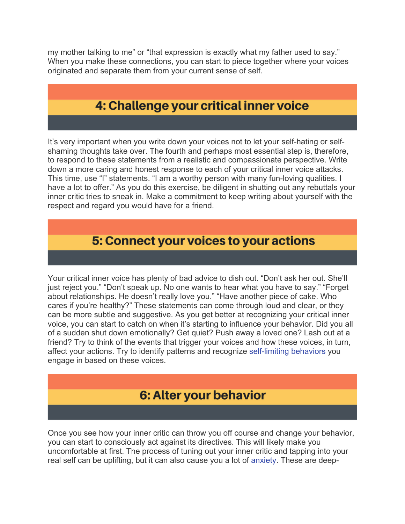my mother talking to me" or "that expression is exactly what my father used to say." When you make these connections, you can start to piece together where your voices originated and separate them from your current sense of self.

### 4: Challenge your critical inner voice

It's very important when you write down your voices not to let your self-hating or selfshaming thoughts take over. The fourth and perhaps most essential step is, therefore, to respond to these statements from a realistic and compassionate perspective. Write down a more caring and honest response to each of your critical inner voice attacks. This time, use "I" statements. "I am a worthy person with many fun-loving qualities. I have a lot to offer." As you do this exercise, be diligent in shutting out any rebuttals your inner critic tries to sneak in. Make a commitment to keep writing about yourself with the respect and regard you would have for a friend.

#### 5: Connect your voices to your actions

Your critical inner voice has plenty of bad advice to dish out. "Don't ask her out. She'll just reject you." "Don't speak up. No one wants to hear what you have to say." "Forget about relationships. He doesn't really love you." "Have another piece of cake. Who cares if you're healthy?" These statements can come through loud and clear, or they can be more subtle and suggestive. As you get better at recognizing your critical inner voice, you can start to catch on when it's starting to influence your behavior. Did you all of a sudden shut down emotionally? Get quiet? Push away a loved one? Lash out at a friend? Try to think of the events that trigger your voices and how these voices, in turn, affect your actions. Try to identify patterns and recognize self-limiting behaviors you engage in based on these voices.

#### 6: Alter your behavior

Once you see how your inner critic can throw you off course and change your behavior, you can start to consciously act against its directives. This will likely make you uncomfortable at first. The process of tuning out your inner critic and tapping into your real self can be uplifting, but it can also cause you a lot of anxiety. These are deep-